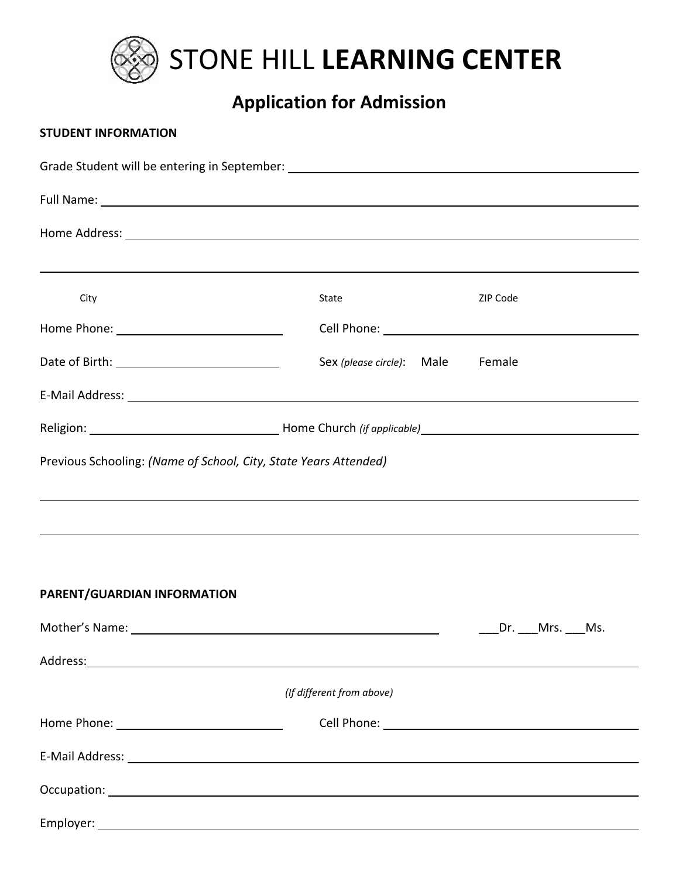

# **Application for Admission**

### **STUDENT INFORMATION**

|                             | Grade Student will be entering in September: ___________________________________                                                                                                                                                     |              |
|-----------------------------|--------------------------------------------------------------------------------------------------------------------------------------------------------------------------------------------------------------------------------------|--------------|
|                             | Full Name: <u>example and the second contract of the second contract of the second contract of the second contract of the second contract of the second contract of the second contract of the second contract of the second con</u> |              |
|                             |                                                                                                                                                                                                                                      |              |
|                             |                                                                                                                                                                                                                                      |              |
| City                        | State                                                                                                                                                                                                                                | ZIP Code     |
|                             |                                                                                                                                                                                                                                      |              |
|                             | Sex (please circle): Male Female                                                                                                                                                                                                     |              |
|                             |                                                                                                                                                                                                                                      |              |
|                             |                                                                                                                                                                                                                                      |              |
|                             |                                                                                                                                                                                                                                      |              |
| PARENT/GUARDIAN INFORMATION |                                                                                                                                                                                                                                      |              |
|                             | Mother's Name: Name and South Article and South Article and South Article and South Article and South Article and South Article and South Article and South Article and South Article and Article and Article and Article and        | Dr. Mrs. Ms. |
|                             |                                                                                                                                                                                                                                      |              |
|                             | (If different from above)                                                                                                                                                                                                            |              |
|                             |                                                                                                                                                                                                                                      |              |
|                             |                                                                                                                                                                                                                                      |              |
|                             |                                                                                                                                                                                                                                      |              |
|                             |                                                                                                                                                                                                                                      |              |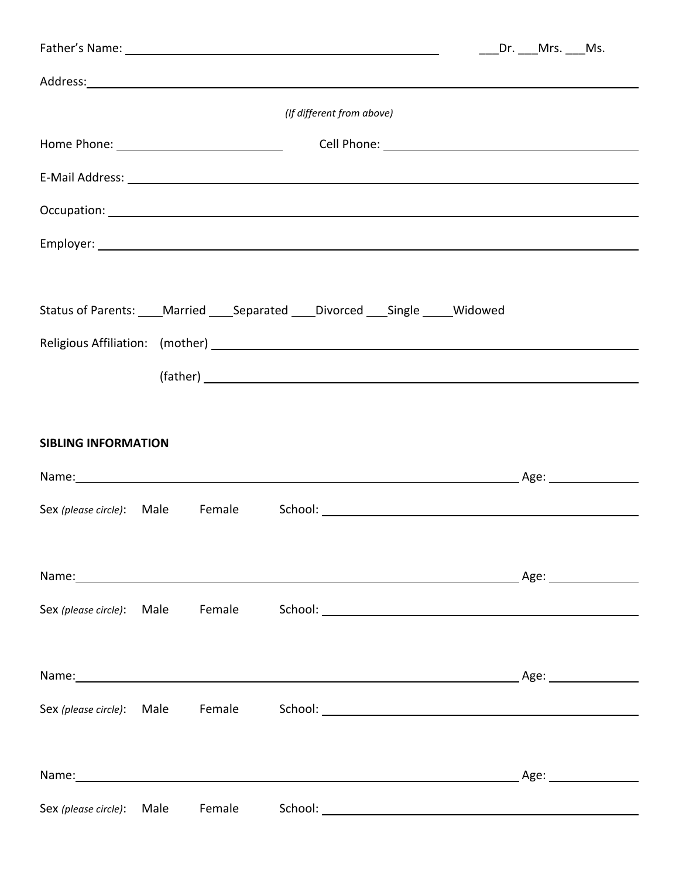|                                  |  |        | Father's Name: Name: Name and South Assembly and South Assembly and South Assembly and South Assembly and South Assembly and Assembly and Assembly and Assembly and Assembly and Assembly and Assembly and Assembly and Assemb                                                                                      |  | Dr. Mrs. Ms. |                         |  |
|----------------------------------|--|--------|---------------------------------------------------------------------------------------------------------------------------------------------------------------------------------------------------------------------------------------------------------------------------------------------------------------------|--|--------------|-------------------------|--|
|                                  |  |        |                                                                                                                                                                                                                                                                                                                     |  |              |                         |  |
| (If different from above)        |  |        |                                                                                                                                                                                                                                                                                                                     |  |              |                         |  |
|                                  |  |        |                                                                                                                                                                                                                                                                                                                     |  |              |                         |  |
|                                  |  |        | E-Mail Address: National Address: National Address: National Address: National Address: National Address: National Address: National Address: National Address: National Address: National Address: National Address: National                                                                                      |  |              |                         |  |
|                                  |  |        |                                                                                                                                                                                                                                                                                                                     |  |              |                         |  |
|                                  |  |        |                                                                                                                                                                                                                                                                                                                     |  |              |                         |  |
|                                  |  |        | Status of Parents: ____Married ____Separated ____Divorced ____Single _____Widowed<br>(father) and the contract of the contract of the contract of the contract of the contract of the contract of the contract of the contract of the contract of the contract of the contract of the contract of the contract of t |  |              |                         |  |
| <b>SIBLING INFORMATION</b>       |  |        |                                                                                                                                                                                                                                                                                                                     |  |              |                         |  |
|                                  |  |        |                                                                                                                                                                                                                                                                                                                     |  |              | _Age: _________________ |  |
| Sex (please circle): Male Female |  |        |                                                                                                                                                                                                                                                                                                                     |  |              |                         |  |
|                                  |  |        |                                                                                                                                                                                                                                                                                                                     |  |              |                         |  |
|                                  |  |        |                                                                                                                                                                                                                                                                                                                     |  |              | Age:                    |  |
| Sex (please circle): Male        |  | Female |                                                                                                                                                                                                                                                                                                                     |  |              |                         |  |
|                                  |  |        |                                                                                                                                                                                                                                                                                                                     |  |              |                         |  |
|                                  |  |        |                                                                                                                                                                                                                                                                                                                     |  |              |                         |  |
| Sex (please circle): Male        |  | Female |                                                                                                                                                                                                                                                                                                                     |  |              |                         |  |
|                                  |  |        |                                                                                                                                                                                                                                                                                                                     |  |              |                         |  |
|                                  |  |        | Name: Name:                                                                                                                                                                                                                                                                                                         |  |              |                         |  |
| Sex (please circle): Male        |  | Female |                                                                                                                                                                                                                                                                                                                     |  |              |                         |  |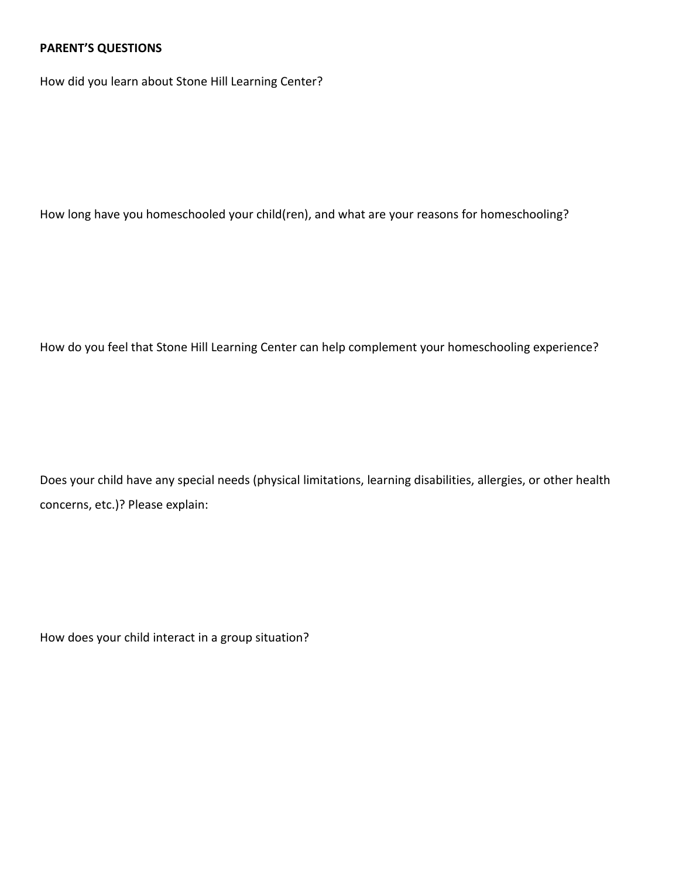## **PARENT'S QUESTIONS**

How did you learn about Stone Hill Learning Center?

How long have you homeschooled your child(ren), and what are your reasons for homeschooling?

How do you feel that Stone Hill Learning Center can help complement your homeschooling experience?

Does your child have any special needs (physical limitations, learning disabilities, allergies, or other health concerns, etc.)? Please explain:

How does your child interact in a group situation?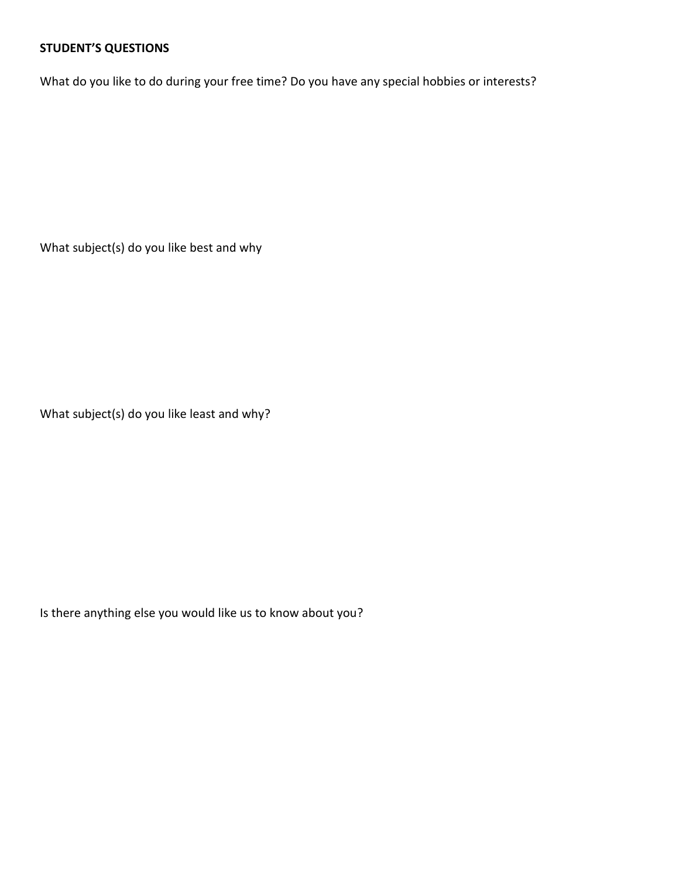## **STUDENT'S QUESTIONS**

What do you like to do during your free time? Do you have any special hobbies or interests?

What subject(s) do you like best and why

What subject(s) do you like least and why?

Is there anything else you would like us to know about you?